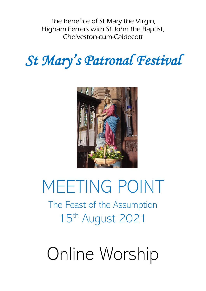The Benefice of St Mary the Virgin, Higham Ferrers with St John the Baptist, Chelveston-cum-Caldecott

# *St Mary's Patronal Festival*



# MEETING POINT

The Feast of the Assumption 15th August 2021

# Online Worship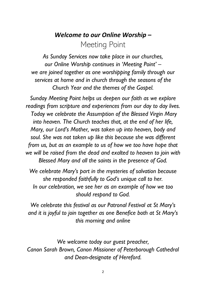# *Welcome to our Online Worship –* Meeting Point

*As Sunday Services now take place in our churches, our Online Worship continues in 'Meeting Point' – we are joined together as one worshipping family through our services at home and in church through the seasons of the Church Year and the themes of the Gospel.*

*Sunday Meeting Point helps us deepen our faith as we explore readings from scripture and experiences from our day to day lives. Today we celebrate the Assumption of the Blessed Virgin Mary into heaven. The Church teaches that, at the end of her life, Mary, our Lord's Mother, was taken up into heaven, body and soul. She was not taken up like this because she was different from us, but as an example to us of how we too have hope that we will be raised from the dead and exalted to heaven to join with Blessed Mary and all the saints in the presence of God.*

*We celebrate Mary's part in the mysteries of salvation because she responded faithfully to God's unique call to her. In our celebration, we see her as an example of how we too should respond to God.*

*We celebrate this festival as our Patronal Festival at St Mary's and it is joyful to join together as one Benefice both at St Mary's this morning and online*

*We welcome today our guest preacher, Canon Sarah Brown, Canon Missioner of Peterborough Cathedral and Dean-designate of Hereford.*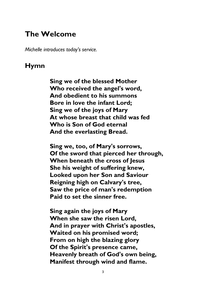# **The Welcome**

*Michelle introduces today's service.*

#### **Hymn**

**Sing we of the blessed Mother Who received the angel's word, And obedient to his summons Bore in love the infant Lord; Sing we of the joys of Mary At whose breast that child was fed Who is Son of God eternal And the everlasting Bread.**

**Sing we, too, of Mary's sorrows, Of the sword that pierced her through, When beneath the cross of Jesus She his weight of suffering knew, Looked upon her Son and Saviour Reigning high on Calvary's tree, Saw the price of man's redemption Paid to set the sinner free.**

**Sing again the joys of Mary When she saw the risen Lord, And in prayer with Christ's apostles, Waited on his promised word; From on high the blazing glory Of the Spirit's presence came, Heavenly breath of God's own being, Manifest through wind and flame.**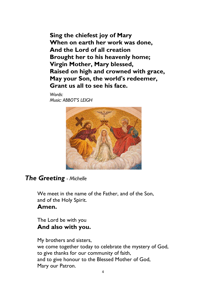**Sing the chiefest joy of Mary When on earth her work was done, And the Lord of all creation Brought her to his heavenly home; Virgin Mother, Mary blessed, Raised on high and crowned with grace, May your Son, the world's redeemer, Grant us all to see his face.**

*Words: Music: ABBOT'S LEIGH* 



#### *The Greeting - Michelle*

We meet in the name of the Father, and of the Son, and of the Holy Spirit. **Amen.**

The Lord be with you **And also with you.**

My brothers and sisters, we come together today to celebrate the mystery of God, to give thanks for our community of faith, and to give honour to the Blessed Mother of God, Mary our Patron.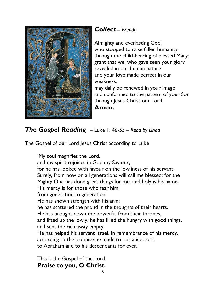

#### *Collect* **–** *Brenda*

Almighty and everlasting God, who stooped to raise fallen humanity through the child-bearing of blessed Mary: grant that we, who gave seen your glory revealed in our human nature and your love made perfect in our weakness,

may daily be renewed in your image and conformed to the pattern of your Son through Jesus Christ our Lord.

**Amen.**

### *The Gospel Reading* – Luke 1: 46-55 – *Read by Linda*

The Gospel of our Lord Jesus Christ according to Luke

'My soul magnifies the Lord,

and my spirit rejoices in God my Saviour,

for he has looked with favour on the lowliness of his servant. Surely, from now on all generations will call me blessed; for the Mighty One has done great things for me, and holy is his name.

His mercy is for those who fear him

from generation to generation.

He has shown strength with his arm;

he has scattered the proud in the thoughts of their hearts.

He has brought down the powerful from their thrones,

and lifted up the lowly; he has filled the hungry with good things, and sent the rich away empty.

He has helped his servant Israel, in remembrance of his mercy, according to the promise he made to our ancestors,

to Abraham and to his descendants for ever.'

This is the Gospel of the Lord. **Praise to you, O Christ.**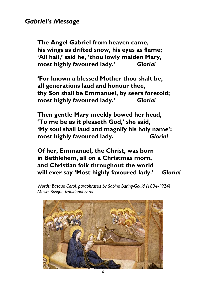#### *Gabriel's Message*

**The Angel Gabriel from heaven came, his wings as drifted snow, his eyes as flame; 'All hail,' said he, 'thou lowly maiden Mary, most highly favoured lady.'** *Gloria!*

**'For known a blessed Mother thou shalt be, all generations laud and honour thee, thy Son shall be Emmanuel, by seers foretold; most highly favoured lady.'** *Gloria!*

**Then gentle Mary meekly bowed her head, 'To me be as it pleaseth God,' she said, 'My soul shall laud and magnify his holy name': most highly favoured lady.** *Gloria!*

**Of her, Emmanuel, the Christ, was born in Bethlehem, all on a Christmas morn, and Christian folk throughout the world will ever say 'Most highly favoured lady.'** *Gloria!*

*Words: Basque Carol, paraphrased by Sabine Baring-Gould (1834-1924) Music: Basque traditional carol*

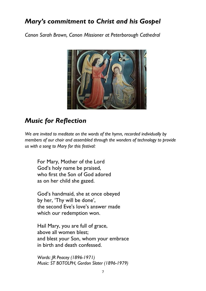# *Mary's commitment to Christ and his Gospel*

*Canon Sarah Brown, Canon Missioner at Peterborough Cathedral*



# *Music for Reflection*

*We are invited to meditate on the words of the hymn, recorded individually by members of our choir and assembled through the wonders of technology to provide us with a song to Mary for this festival:*

For Mary, Mother of the Lord God's holy name be praised, who first the Son of God adored as on her child she gazed.

God's handmaid, she at once obeyed by her, 'Thy will be done', the second Eve's love's answer made which our redemption won.

Hail Mary, you are full of grace, above all women blest; and blest your Son, whom your embrace in birth and death confessed.

*Words: JR Peacey (1896-1971) Music: ST BOTOLPH, Gordon Slater (1896-1979)*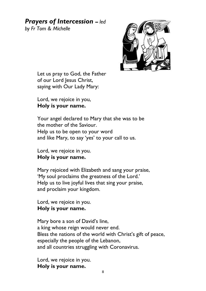# *Prayers of Intercession* **–** *led*

*by Fr Tom & Michelle*



Let us pray to God, the Father of our Lord Jesus Christ, saying with Our Lady Mary:

Lord, we rejoice in you, **Holy is your name.**

Your angel declared to Mary that she was to be the mother of the Saviour. Help us to be open to your word and like Mary, to say 'yes' to your call to us.

Lord, we rejoice in you. **Holy is your name.**

Mary rejoiced with Elizabeth and sang your praise, 'My soul proclaims the greatness of the Lord.' Help us to live joyful lives that sing your praise, and proclaim your kingdom.

Lord, we rejoice in you. **Holy is your name.**

Mary bore a son of David's line, a king whose reign would never end. Bless the nations of the world with Christ's gift of peace, especially the people of the Lebanon, and all countries struggling with Coronavirus.

Lord, we rejoice in you. **Holy is your name.**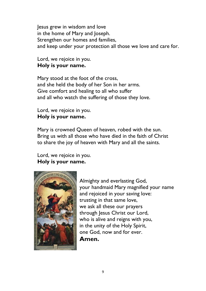Jesus grew in wisdom and love in the home of Mary and Joseph. Strengthen our homes and families, and keep under your protection all those we love and care for.

Lord, we rejoice in you. **Holy is your name.**

Mary stood at the foot of the cross, and she held the body of her Son in her arms. Give comfort and healing to all who suffer and all who watch the suffering of those they love.

Lord, we rejoice in you. **Holy is your name.**

Mary is crowned Queen of heaven, robed with the sun. Bring us with all those who have died in the faith of Christ to share the joy of heaven with Mary and all the saints.

Lord, we rejoice in you. **Holy is your name.**



Almighty and everlasting God, your handmaid Mary magnified your name and rejoiced in your saving love: trusting in that same love, we ask all these our prayers through Jesus Christ our Lord, who is alive and reigns with you, in the unity of the Holy Spirit, one God, now and for ever. **Amen.**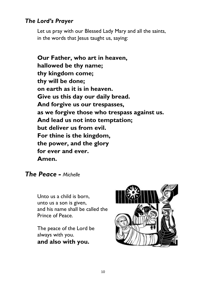#### *The Lord's Prayer*

Let us pray with our Blessed Lady Mary and all the saints, in the words that Jesus taught us, saying:

**Our Father, who art in heaven, hallowed be thy name; thy kingdom come; thy will be done; on earth as it is in heaven. Give us this day our daily bread. And forgive us our trespasses, as we forgive those who trespass against us. And lead us not into temptation; but deliver us from evil. For thine is the kingdom, the power, and the glory for ever and ever. Amen.**

*The Peace - Michelle*

Unto us a child is born, unto us a son is given, and his name shall be called the Prince of Peace.

The peace of the Lord be always with you. **and also with you.**

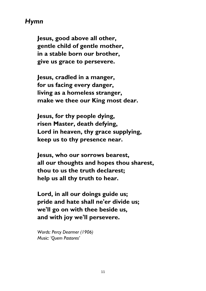#### *Hymn*

**Jesus, good above all other, gentle child of gentle mother, in a stable born our brother, give us grace to persevere.**

**Jesus, cradled in a manger, for us facing every danger, living as a homeless stranger, make we thee our King most dear.**

**Jesus, for thy people dying, risen Master, death defying, Lord in heaven, thy grace supplying, keep us to thy presence near.**

**Jesus, who our sorrows bearest, all our thoughts and hopes thou sharest, thou to us the truth declarest; help us all thy truth to hear.**

**Lord, in all our doings guide us; pride and hate shall ne'er divide us; we'll go on with thee beside us, and with joy we'll persevere.**

*Words: Percy Dearmer (1906) Music: 'Quem Pastores'*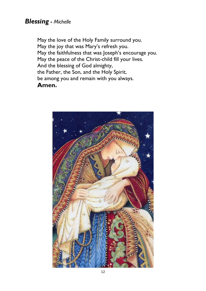#### *Blessing* **-** *Michelle*

May the love of the Holy Family surround you. May the joy that was Mary's refresh you. May the faithfulness that was Joseph's encourage you. May the peace of the Christ-child fill your lives. And the blessing of God almighty, the Father, the Son, and the Holy Spirit, be among you and remain with you always. **Amen.**

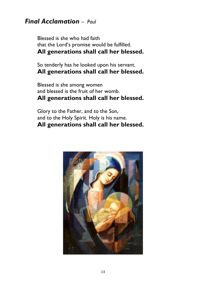#### *Final Acclamation – Paul*

Blessed is she who had faith that the Lord's promise would be fulfilled. **All generations shall call her blessed.**

So tenderly has he looked upon his servant. **All generations shall call her blessed.**

Blessed is she among women and blessed is the fruit of her womb. **All generations shall call her blessed.**

Glory to the Father, and to the Son, and to the Holy Spirit. Holy is his name. **All generations shall call her blessed.**

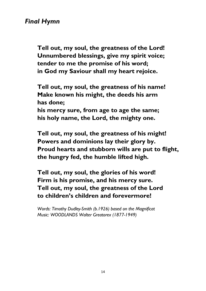#### *Final Hymn*

**Tell out, my soul, the greatness of the Lord! Unnumbered blessings, give my spirit voice; tender to me the promise of his word; in God my Saviour shall my heart rejoice.**

**Tell out, my soul, the greatness of his name! Make known his might, the deeds his arm has done; his mercy sure, from age to age the same;**

**his holy name, the Lord, the mighty one.**

**Tell out, my soul, the greatness of his might! Powers and dominions lay their glory by. Proud hearts and stubborn wills are put to flight, the hungry fed, the humble lifted high.**

**Tell out, my soul, the glories of his word! Firm is his promise, and his mercy sure. Tell out, my soul, the greatness of the Lord to children's children and forevermore!**

*Words: Timothy Dudley-Smith (b.1926) based on the Magnificat Music: WOODLANDS Walter Greatorex (1877-1949)*